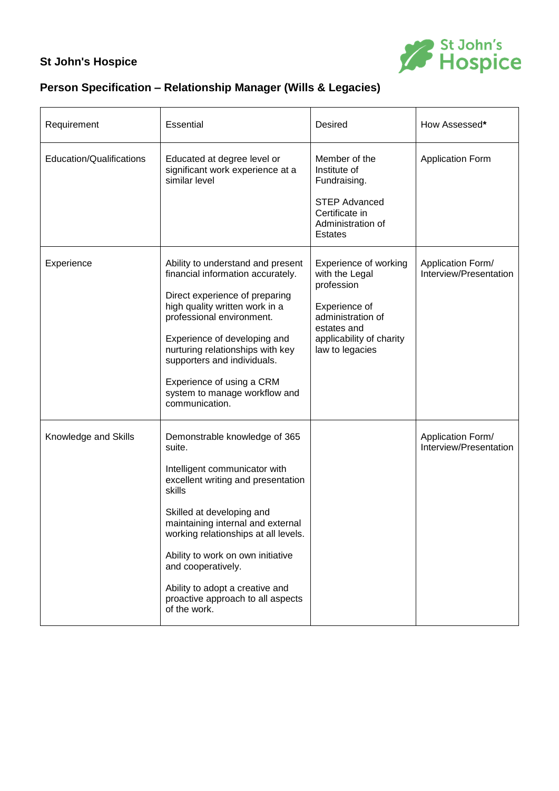## **St John's Hospice**



## **Person Specification – Relationship Manager (Wills & Legacies)**

| Requirement              | <b>Essential</b>                                                                                                                                                                                                                                                                                                                                                                      | <b>Desired</b>                                                                                                                                            | How Assessed*                               |
|--------------------------|---------------------------------------------------------------------------------------------------------------------------------------------------------------------------------------------------------------------------------------------------------------------------------------------------------------------------------------------------------------------------------------|-----------------------------------------------------------------------------------------------------------------------------------------------------------|---------------------------------------------|
| Education/Qualifications | Educated at degree level or<br>significant work experience at a<br>similar level                                                                                                                                                                                                                                                                                                      | Member of the<br>Institute of<br>Fundraising.<br><b>STEP Advanced</b><br>Certificate in<br>Administration of<br><b>Estates</b>                            | <b>Application Form</b>                     |
| Experience               | Ability to understand and present<br>financial information accurately.<br>Direct experience of preparing<br>high quality written work in a<br>professional environment.<br>Experience of developing and<br>nurturing relationships with key<br>supporters and individuals.<br>Experience of using a CRM<br>system to manage workflow and<br>communication.                            | Experience of working<br>with the Legal<br>profession<br>Experience of<br>administration of<br>estates and<br>applicability of charity<br>law to legacies | Application Form/<br>Interview/Presentation |
| Knowledge and Skills     | Demonstrable knowledge of 365<br>suite.<br>Intelligent communicator with<br>excellent writing and presentation<br>skills<br>Skilled at developing and<br>maintaining internal and external<br>working relationships at all levels.<br>Ability to work on own initiative<br>and cooperatively.<br>Ability to adopt a creative and<br>proactive approach to all aspects<br>of the work. |                                                                                                                                                           | Application Form/<br>Interview/Presentation |